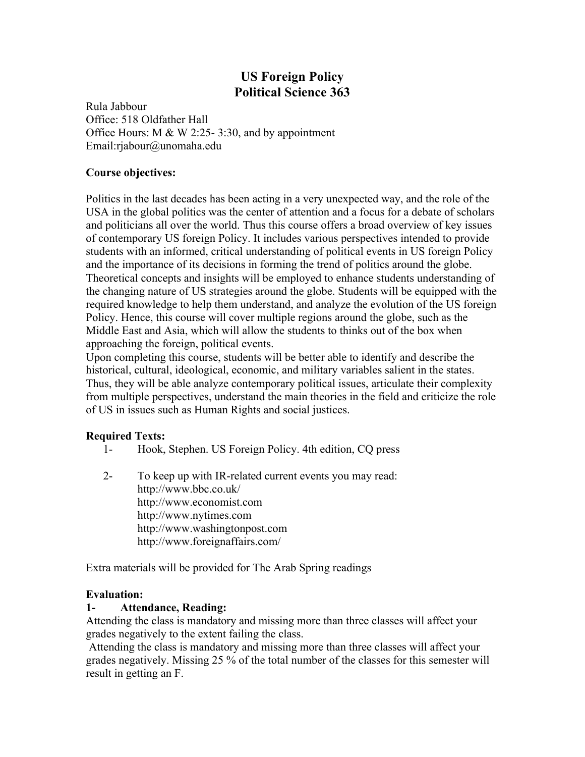# **US Foreign Policy Political Science 363**

Rula Jabbour Office: 518 Oldfather Hall Office Hours: M  $&$  W 2:25- 3:30, and by appointment Email:rjabour@unomaha.edu

### **Course objectives:**

Politics in the last decades has been acting in a very unexpected way, and the role of the USA in the global politics was the center of attention and a focus for a debate of scholars and politicians all over the world. Thus this course offers a broad overview of key issues of contemporary US foreign Policy. It includes various perspectives intended to provide students with an informed, critical understanding of political events in US foreign Policy and the importance of its decisions in forming the trend of politics around the globe. Theoretical concepts and insights will be employed to enhance students understanding of the changing nature of US strategies around the globe. Students will be equipped with the required knowledge to help them understand, and analyze the evolution of the US foreign Policy. Hence, this course will cover multiple regions around the globe, such as the Middle East and Asia, which will allow the students to thinks out of the box when approaching the foreign, political events.

Upon completing this course, students will be better able to identify and describe the historical, cultural, ideological, economic, and military variables salient in the states. Thus, they will be able analyze contemporary political issues, articulate their complexity from multiple perspectives, understand the main theories in the field and criticize the role of US in issues such as Human Rights and social justices.

### **Required Texts:**

- 1- Hook, Stephen. US Foreign Policy. 4th edition, CQ press
- 2- To keep up with IR-related current events you may read: http://www.bbc.co.uk/ http://www.economist.com http://www.nytimes.com http://www.washingtonpost.com http://www.foreignaffairs.com/

Extra materials will be provided for The Arab Spring readings

### **Evaluation:**

#### **1- Attendance, Reading:**

Attending the class is mandatory and missing more than three classes will affect your grades negatively to the extent failing the class.

Attending the class is mandatory and missing more than three classes will affect your grades negatively. Missing 25 % of the total number of the classes for this semester will result in getting an F.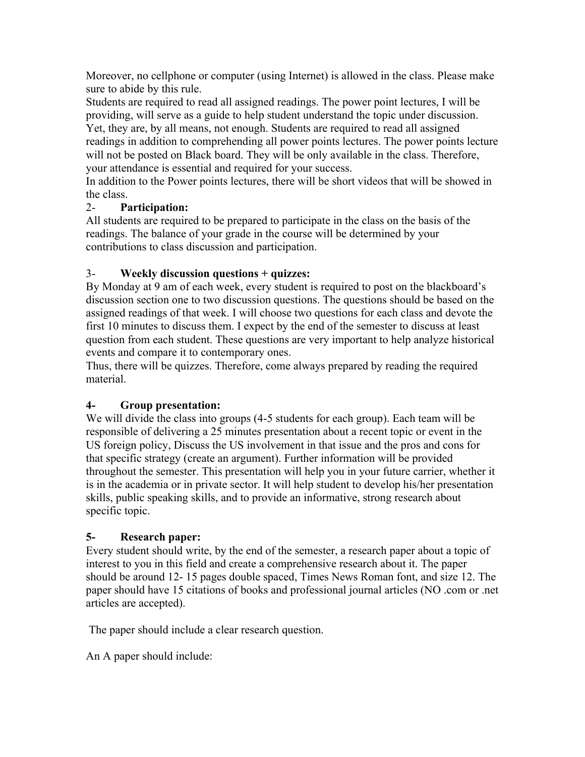Moreover, no cellphone or computer (using Internet) is allowed in the class. Please make sure to abide by this rule.

Students are required to read all assigned readings. The power point lectures, I will be providing, will serve as a guide to help student understand the topic under discussion. Yet, they are, by all means, not enough. Students are required to read all assigned readings in addition to comprehending all power points lectures. The power points lecture will not be posted on Black board. They will be only available in the class. Therefore, your attendance is essential and required for your success.

In addition to the Power points lectures, there will be short videos that will be showed in the class.

## 2- **Participation:**

All students are required to be prepared to participate in the class on the basis of the readings. The balance of your grade in the course will be determined by your contributions to class discussion and participation.

## 3- **Weekly discussion questions + quizzes:**

By Monday at 9 am of each week, every student is required to post on the blackboard's discussion section one to two discussion questions. The questions should be based on the assigned readings of that week. I will choose two questions for each class and devote the first 10 minutes to discuss them. I expect by the end of the semester to discuss at least question from each student. These questions are very important to help analyze historical events and compare it to contemporary ones.

Thus, there will be quizzes. Therefore, come always prepared by reading the required material.

## **4- Group presentation:**

We will divide the class into groups (4-5 students for each group). Each team will be responsible of delivering a 25 minutes presentation about a recent topic or event in the US foreign policy, Discuss the US involvement in that issue and the pros and cons for that specific strategy (create an argument). Further information will be provided throughout the semester. This presentation will help you in your future carrier, whether it is in the academia or in private sector. It will help student to develop his/her presentation skills, public speaking skills, and to provide an informative, strong research about specific topic.

## **5- Research paper:**

Every student should write, by the end of the semester, a research paper about a topic of interest to you in this field and create a comprehensive research about it. The paper should be around 12- 15 pages double spaced, Times News Roman font, and size 12. The paper should have 15 citations of books and professional journal articles (NO .com or .net articles are accepted).

The paper should include a clear research question.

An A paper should include: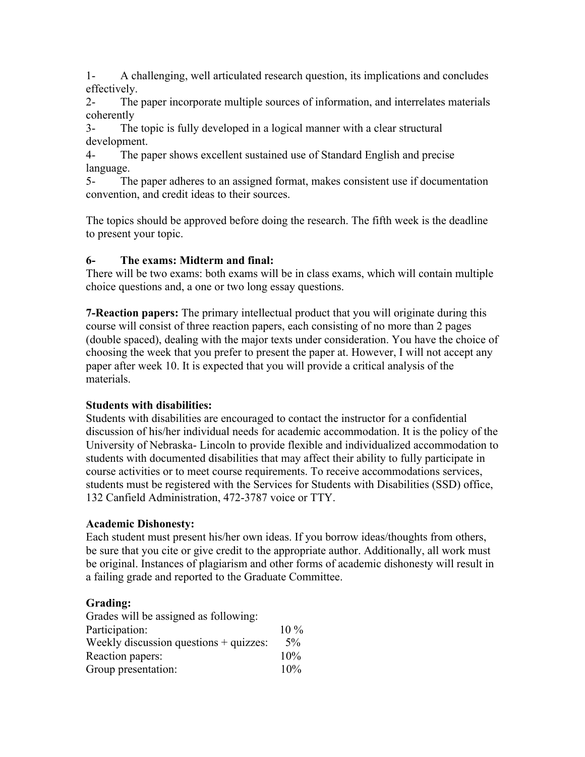1- A challenging, well articulated research question, its implications and concludes effectively.

2- The paper incorporate multiple sources of information, and interrelates materials coherently

3- The topic is fully developed in a logical manner with a clear structural development.

4- The paper shows excellent sustained use of Standard English and precise language.

5- The paper adheres to an assigned format, makes consistent use if documentation convention, and credit ideas to their sources.

The topics should be approved before doing the research. The fifth week is the deadline to present your topic.

### **6- The exams: Midterm and final:**

There will be two exams: both exams will be in class exams, which will contain multiple choice questions and, a one or two long essay questions.

**7-Reaction papers:** The primary intellectual product that you will originate during this course will consist of three reaction papers, each consisting of no more than 2 pages (double spaced), dealing with the major texts under consideration. You have the choice of choosing the week that you prefer to present the paper at. However, I will not accept any paper after week 10. It is expected that you will provide a critical analysis of the materials.

### **Students with disabilities:**

Students with disabilities are encouraged to contact the instructor for a confidential discussion of his/her individual needs for academic accommodation. It is the policy of the University of Nebraska- Lincoln to provide flexible and individualized accommodation to students with documented disabilities that may affect their ability to fully participate in course activities or to meet course requirements. To receive accommodations services, students must be registered with the Services for Students with Disabilities (SSD) office, 132 Canfield Administration, 472-3787 voice or TTY.

### **Academic Dishonesty:**

Each student must present his/her own ideas. If you borrow ideas/thoughts from others, be sure that you cite or give credit to the appropriate author. Additionally, all work must be original. Instances of plagiarism and other forms of academic dishonesty will result in a failing grade and reported to the Graduate Committee.

### **Grading:**

| Grades will be assigned as following:    |        |
|------------------------------------------|--------|
| Participation:                           | $10\%$ |
| Weekly discussion questions $+$ quizzes: | $5\%$  |
| Reaction papers:                         | 10%    |
| Group presentation:                      | 10%    |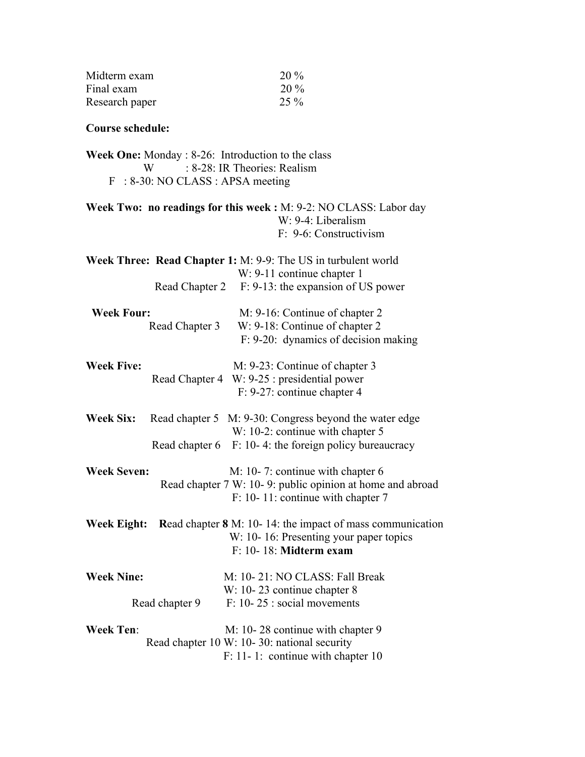| Midterm exam   | 20 %   |
|----------------|--------|
| Final exam     | $20\%$ |
| Research paper | $25\%$ |

## **Course schedule:**

|   | <b>Week One:</b> Monday $: 8-26$ : Introduction to the class |
|---|--------------------------------------------------------------|
| W | : 8-28: IR Theories: Realism                                 |
|   | $F : 8-30$ : NO CLASS : APSA meeting                         |

| <b>Week Two: no readings for this week:</b> M: 9-2: NO CLASS: Labor day |
|-------------------------------------------------------------------------|
| $W: 9-4: Liberalism$                                                    |
| F: 9-6: Constructivism                                                  |

|                    |                | Week Three: Read Chapter 1: M: 9-9: The US in turbulent world                                  |
|--------------------|----------------|------------------------------------------------------------------------------------------------|
|                    |                | W: 9-11 continue chapter 1                                                                     |
|                    | Read Chapter 2 | F: 9-13: the expansion of US power                                                             |
| <b>Week Four:</b>  | Read Chapter 3 | M: 9-16: Continue of chapter 2<br>W: 9-18: Continue of chapter 2                               |
|                    |                | F: 9-20: dynamics of decision making                                                           |
| <b>Week Five:</b>  |                | M: 9-23: Continue of chapter 3                                                                 |
|                    |                | Read Chapter 4 W: 9-25 : presidential power                                                    |
|                    |                | F: 9-27: continue chapter 4                                                                    |
| <b>Week Six:</b>   |                | Read chapter 5 M: 9-30: Congress beyond the water edge                                         |
|                    |                | W: 10-2: continue with chapter 5                                                               |
|                    |                | Read chapter $6 \t F: 10-4$ : the foreign policy bureaucracy                                   |
| <b>Week Seven:</b> |                | M: 10-7: continue with chapter 6                                                               |
|                    |                | Read chapter 7 W: 10-9: public opinion at home and abroad<br>F: 10-11: continue with chapter 7 |
| <b>Week Eight:</b> |                | <b>Read chapter 8</b> M: 10-14: the impact of mass communication                               |
|                    |                | W: 10-16: Presenting your paper topics                                                         |
|                    |                | $F: 10-18:$ Midterm exam                                                                       |
| <b>Week Nine:</b>  |                | M: 10-21: NO CLASS: Fall Break                                                                 |
|                    |                | W: 10-23 continue chapter 8                                                                    |
|                    | Read chapter 9 | $F: 10-25$ : social movements                                                                  |
| <b>Week Ten:</b>   |                | M: 10-28 continue with chapter 9                                                               |
|                    |                | Read chapter 10 W: 10-30: national security                                                    |
|                    |                | F: 11-1: continue with chapter 10                                                              |